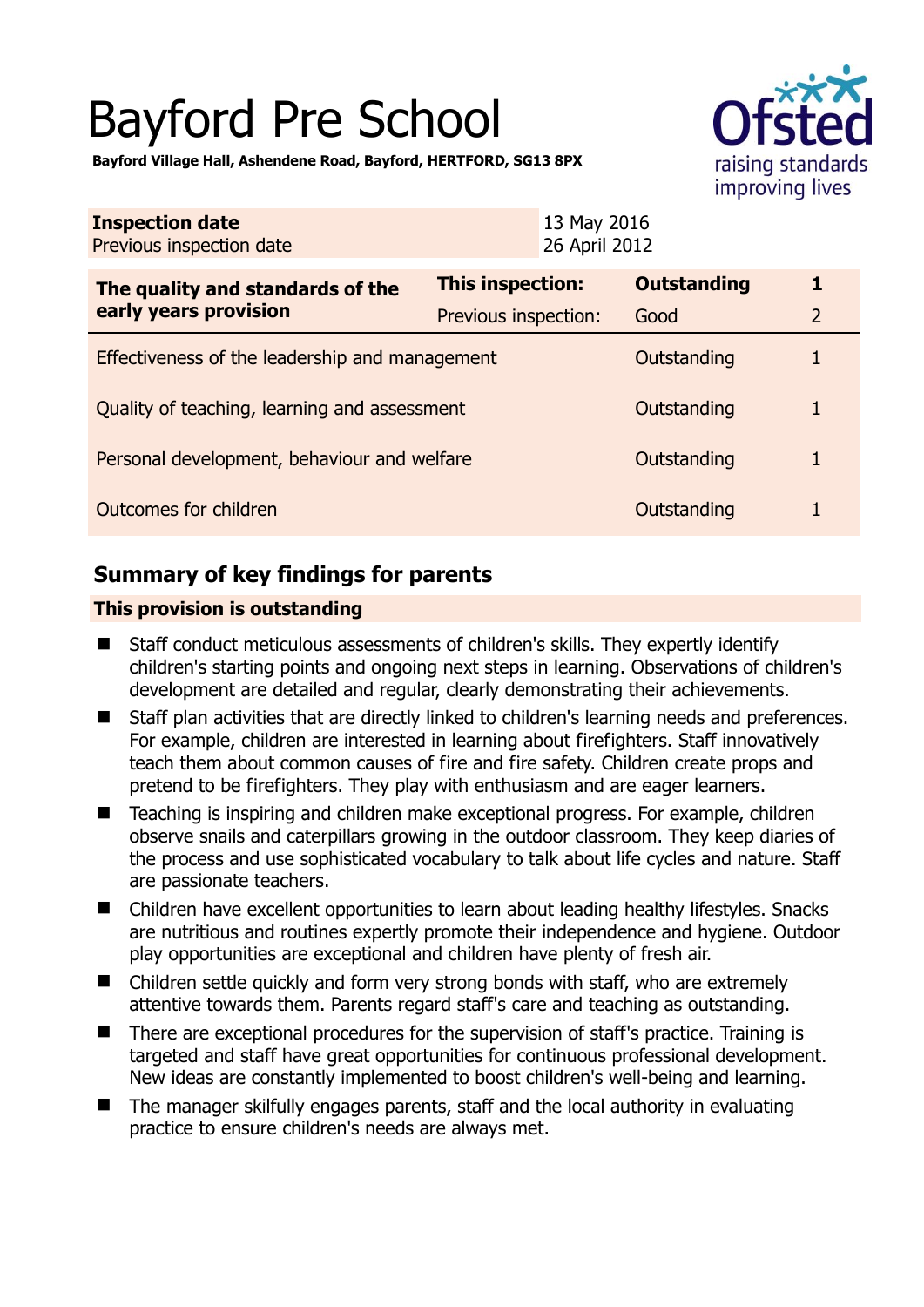# Bayford Pre School



**Bayford Village Hall, Ashendene Road, Bayford, HERTFORD, SG13 8PX** 

| <b>Inspection date</b><br>Previous inspection date        |                      | 13 May 2016<br>26 April 2012 |                    |                |
|-----------------------------------------------------------|----------------------|------------------------------|--------------------|----------------|
| The quality and standards of the<br>early years provision | This inspection:     |                              | <b>Outstanding</b> | 1              |
|                                                           | Previous inspection: |                              | Good               | $\overline{2}$ |
| Effectiveness of the leadership and management            |                      |                              | Outstanding        |                |
| Quality of teaching, learning and assessment              |                      |                              | Outstanding        | 1              |
| Personal development, behaviour and welfare               |                      |                              | Outstanding        | 1              |
| Outcomes for children                                     |                      |                              | Outstanding        | 1              |

# **Summary of key findings for parents**

## **This provision is outstanding**

- Staff conduct meticulous assessments of children's skills. They expertly identify children's starting points and ongoing next steps in learning. Observations of children's development are detailed and regular, clearly demonstrating their achievements.
- Staff plan activities that are directly linked to children's learning needs and preferences. For example, children are interested in learning about firefighters. Staff innovatively teach them about common causes of fire and fire safety. Children create props and pretend to be firefighters. They play with enthusiasm and are eager learners.
- Teaching is inspiring and children make exceptional progress. For example, children observe snails and caterpillars growing in the outdoor classroom. They keep diaries of the process and use sophisticated vocabulary to talk about life cycles and nature. Staff are passionate teachers.
- Children have excellent opportunities to learn about leading healthy lifestyles. Snacks are nutritious and routines expertly promote their independence and hygiene. Outdoor play opportunities are exceptional and children have plenty of fresh air.
- Children settle quickly and form very strong bonds with staff, who are extremely attentive towards them. Parents regard staff's care and teaching as outstanding.
- There are exceptional procedures for the supervision of staff's practice. Training is targeted and staff have great opportunities for continuous professional development. New ideas are constantly implemented to boost children's well-being and learning.
- The manager skilfully engages parents, staff and the local authority in evaluating practice to ensure children's needs are always met.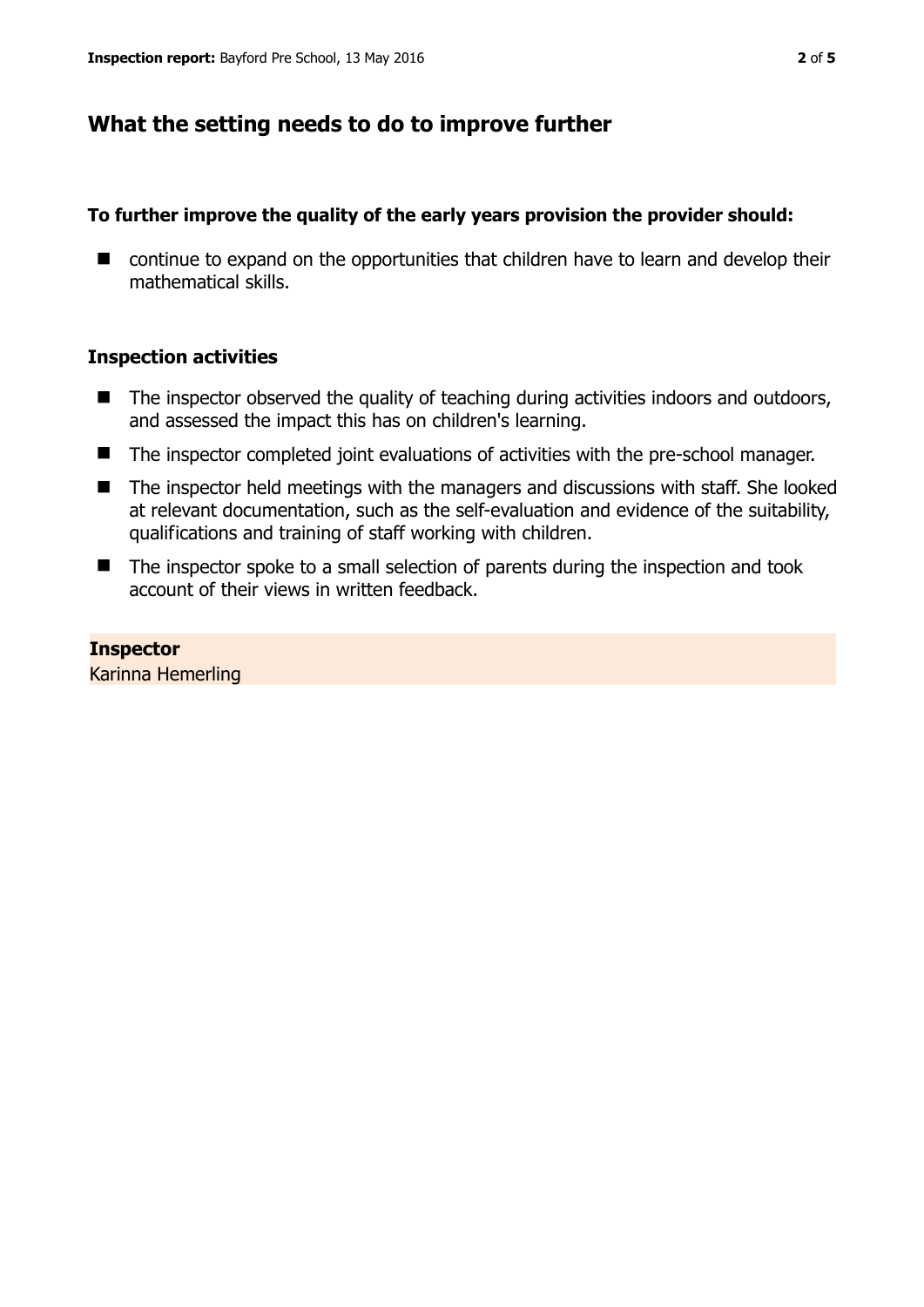## **What the setting needs to do to improve further**

## **To further improve the quality of the early years provision the provider should:**

■ continue to expand on the opportunities that children have to learn and develop their mathematical skills.

## **Inspection activities**

- $\blacksquare$  The inspector observed the quality of teaching during activities indoors and outdoors, and assessed the impact this has on children's learning.
- The inspector completed joint evaluations of activities with the pre-school manager.
- The inspector held meetings with the managers and discussions with staff. She looked at relevant documentation, such as the self-evaluation and evidence of the suitability, qualifications and training of staff working with children.
- The inspector spoke to a small selection of parents during the inspection and took account of their views in written feedback.

## **Inspector**

Karinna Hemerling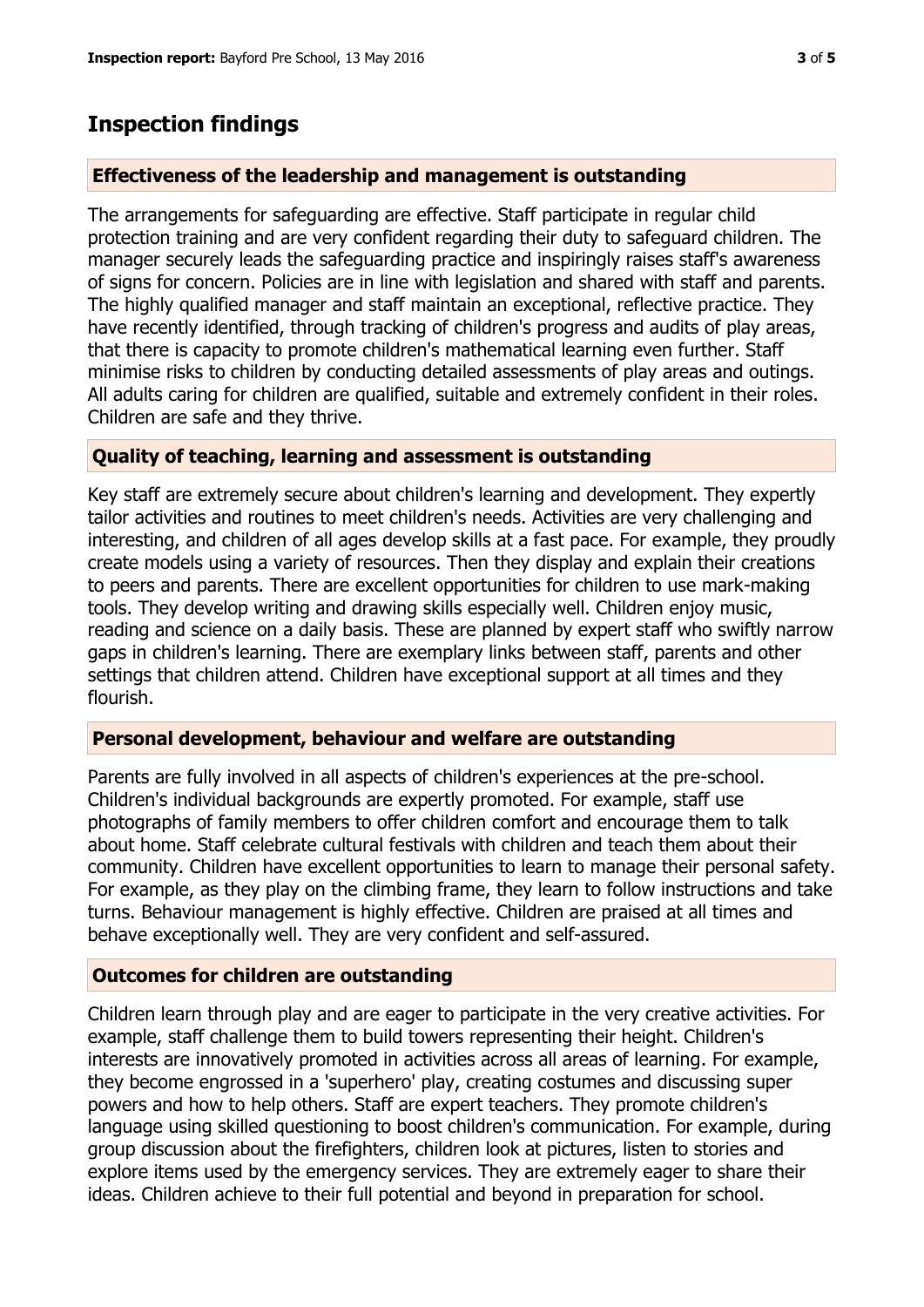# **Inspection findings**

## **Effectiveness of the leadership and management is outstanding**

The arrangements for safeguarding are effective. Staff participate in regular child protection training and are very confident regarding their duty to safeguard children. The manager securely leads the safeguarding practice and inspiringly raises staff's awareness of signs for concern. Policies are in line with legislation and shared with staff and parents. The highly qualified manager and staff maintain an exceptional, reflective practice. They have recently identified, through tracking of children's progress and audits of play areas, that there is capacity to promote children's mathematical learning even further. Staff minimise risks to children by conducting detailed assessments of play areas and outings. All adults caring for children are qualified, suitable and extremely confident in their roles. Children are safe and they thrive.

## **Quality of teaching, learning and assessment is outstanding**

Key staff are extremely secure about children's learning and development. They expertly tailor activities and routines to meet children's needs. Activities are very challenging and interesting, and children of all ages develop skills at a fast pace. For example, they proudly create models using a variety of resources. Then they display and explain their creations to peers and parents. There are excellent opportunities for children to use mark-making tools. They develop writing and drawing skills especially well. Children enjoy music, reading and science on a daily basis. These are planned by expert staff who swiftly narrow gaps in children's learning. There are exemplary links between staff, parents and other settings that children attend. Children have exceptional support at all times and they flourish.

#### **Personal development, behaviour and welfare are outstanding**

Parents are fully involved in all aspects of children's experiences at the pre-school. Children's individual backgrounds are expertly promoted. For example, staff use photographs of family members to offer children comfort and encourage them to talk about home. Staff celebrate cultural festivals with children and teach them about their community. Children have excellent opportunities to learn to manage their personal safety. For example, as they play on the climbing frame, they learn to follow instructions and take turns. Behaviour management is highly effective. Children are praised at all times and behave exceptionally well. They are very confident and self-assured.

#### **Outcomes for children are outstanding**

Children learn through play and are eager to participate in the very creative activities. For example, staff challenge them to build towers representing their height. Children's interests are innovatively promoted in activities across all areas of learning. For example, they become engrossed in a 'superhero' play, creating costumes and discussing super powers and how to help others. Staff are expert teachers. They promote children's language using skilled questioning to boost children's communication. For example, during group discussion about the firefighters, children look at pictures, listen to stories and explore items used by the emergency services. They are extremely eager to share their ideas. Children achieve to their full potential and beyond in preparation for school.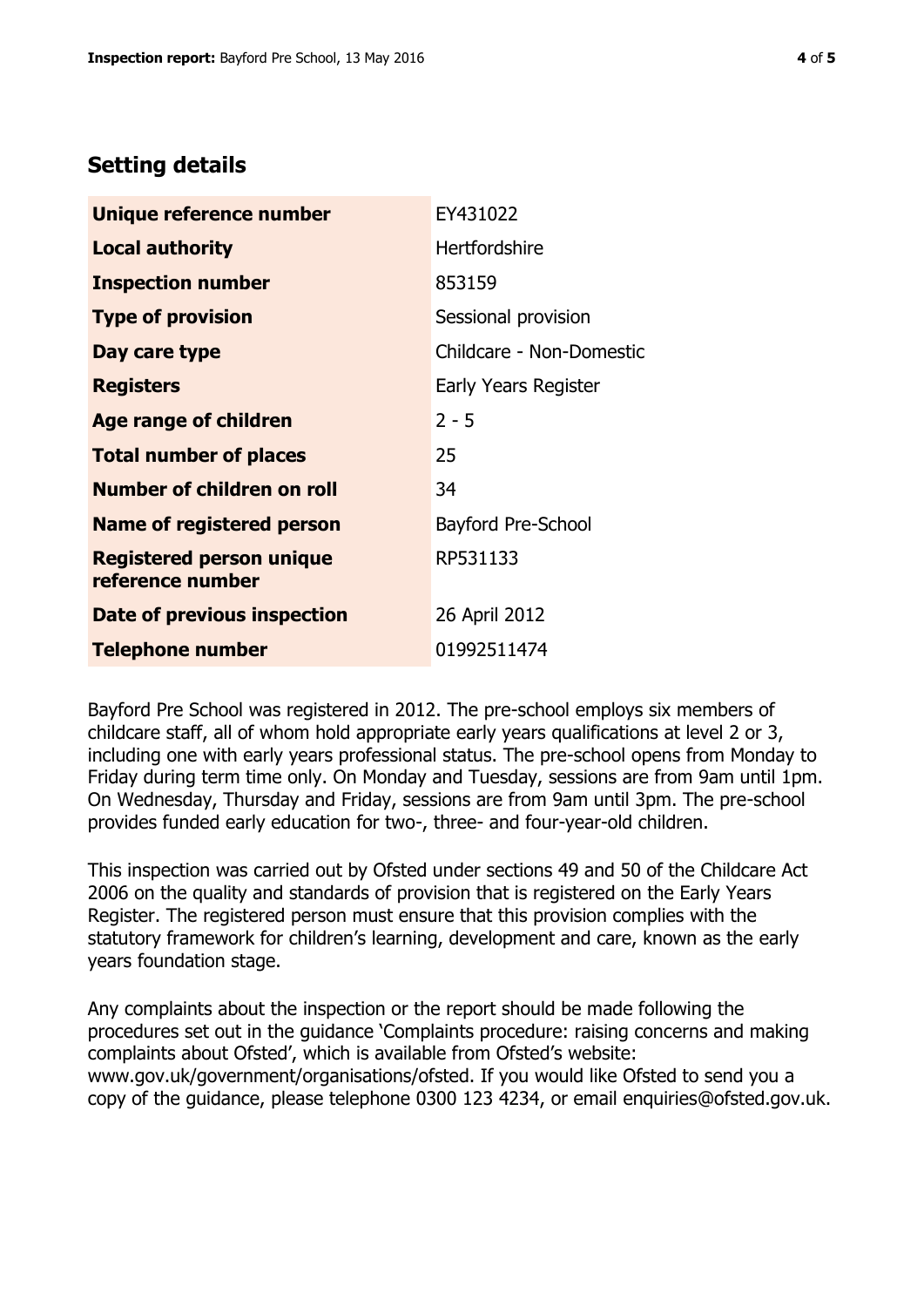## **Setting details**

| Unique reference number                             | EY431022                  |  |
|-----------------------------------------------------|---------------------------|--|
| <b>Local authority</b>                              | <b>Hertfordshire</b>      |  |
| <b>Inspection number</b>                            | 853159                    |  |
| <b>Type of provision</b>                            | Sessional provision       |  |
| Day care type                                       | Childcare - Non-Domestic  |  |
| <b>Registers</b>                                    | Early Years Register      |  |
| <b>Age range of children</b>                        | $2 - 5$                   |  |
| <b>Total number of places</b>                       | 25                        |  |
| <b>Number of children on roll</b>                   | 34                        |  |
| <b>Name of registered person</b>                    | <b>Bayford Pre-School</b> |  |
| <b>Registered person unique</b><br>reference number | RP531133                  |  |
| Date of previous inspection                         | 26 April 2012             |  |
| <b>Telephone number</b>                             | 01992511474               |  |

Bayford Pre School was registered in 2012. The pre-school employs six members of childcare staff, all of whom hold appropriate early years qualifications at level 2 or 3, including one with early years professional status. The pre-school opens from Monday to Friday during term time only. On Monday and Tuesday, sessions are from 9am until 1pm. On Wednesday, Thursday and Friday, sessions are from 9am until 3pm. The pre-school provides funded early education for two-, three- and four-year-old children.

This inspection was carried out by Ofsted under sections 49 and 50 of the Childcare Act 2006 on the quality and standards of provision that is registered on the Early Years Register. The registered person must ensure that this provision complies with the statutory framework for children's learning, development and care, known as the early years foundation stage.

Any complaints about the inspection or the report should be made following the procedures set out in the guidance 'Complaints procedure: raising concerns and making complaints about Ofsted', which is available from Ofsted's website: www.gov.uk/government/organisations/ofsted. If you would like Ofsted to send you a copy of the guidance, please telephone 0300 123 4234, or email enquiries@ofsted.gov.uk.